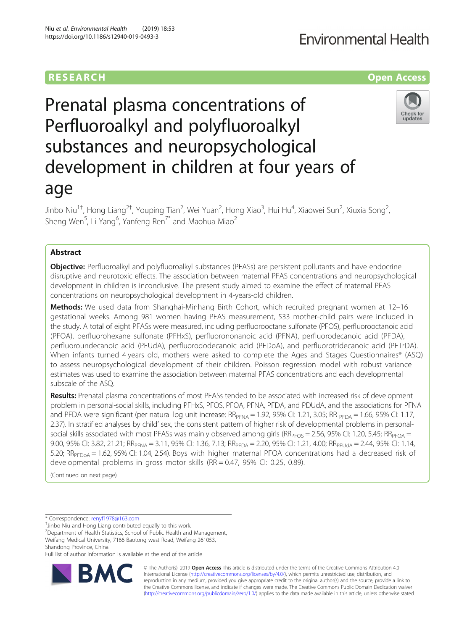## **RESEARCH CHILD CONTROL** CONTROL CONTROL CONTROL CONTROL CONTROL CONTROL CONTROL CONTROL CONTROL CONTROL CONTROL CONTROL CONTROL CONTROL CONTROL CONTROL CONTROL CONTROL CONTROL CONTROL CONTROL CONTROL CONTROL CONTROL CONTR

# Prenatal plasma concentrations of Perfluoroalkyl and polyfluoroalkyl substances and neuropsychological development in children at four years of age

Jinbo Niu<sup>1†</sup>, Hong Liang<sup>2†</sup>, Youping Tian<sup>2</sup>, Wei Yuan<sup>2</sup>, Hong Xiao<sup>3</sup>, Hui Hu<sup>4</sup>, Xiaowei Sun<sup>2</sup>, Xiuxia Song<sup>2</sup> .<br>, Sheng Wen<sup>5</sup>, Li Yang<sup>6</sup>, Yanfeng Ren<sup>7\*</sup> and Maohua Miao<sup>2</sup>

## Abstract

**Objective:** Perfluoroalkyl and polyfluoroalkyl substances (PFASs) are persistent pollutants and have endocrine disruptive and neurotoxic effects. The association between maternal PFAS concentrations and neuropsychological development in children is inconclusive. The present study aimed to examine the effect of maternal PFAS concentrations on neuropsychological development in 4-years-old children.

Methods: We used data from Shanghai-Minhang Birth Cohort, which recruited pregnant women at 12-16 gestational weeks. Among 981 women having PFAS measurement, 533 mother-child pairs were included in the study. A total of eight PFASs were measured, including perfluorooctane sulfonate (PFOS), perfluorooctanoic acid (PFOA), perfluorohexane sulfonate (PFHxS), perfluorononanoic acid (PFNA), perfluorodecanoic acid (PFDA), perfluoroundecanoic acid (PFUdA), perfluorododecanoic acid (PFDoA), and perfluorotridecanoic acid (PFTrDA). When infants turned 4 years old, mothers were asked to complete the Ages and Stages Questionnaires® (ASQ) to assess neuropsychological development of their children. Poisson regression model with robust variance estimates was used to examine the association between maternal PFAS concentrations and each developmental subscale of the ASQ.

Results: Prenatal plasma concentrations of most PFASs tended to be associated with increased risk of development problem in personal-social skills, including PFHxS, PFOS, PFOA, PFNA, PFDA, and PDUdA, and the associations for PFNA and PFDA were significant (per natural log unit increase:  $RR_{\text{PFA}} = 1.92$ , 95% Cl: 1.21, 3.05;  $RR_{\text{PFA}} = 1.66$ , 95% Cl: 1.17, 2.37). In stratified analyses by child' sex, the consistent pattern of higher risk of developmental problems in personalsocial skills associated with most PFASs was mainly observed among girls ( $RR_{PFOS} = 2.56$ , 95% CI: 1.20, 5.45;  $RR_{PFOA} =$ 9.00, 95% CI: 3.82, 21.21; RR<sub>PFNA</sub> = 3.11, 95% CI: 1.36, 7.13; RR<sub>PFDA</sub> = 2.20, 95% CI: 1.21, 4.00; RR<sub>PFUdA</sub> = 2.44, 95% CI: 1.14, 5.20;  $RR_{\text{PFD0A}} = 1.62$ , 95% CI: 1.04, 2.54). Boys with higher maternal PFOA concentrations had a decreased risk of developmental problems in gross motor skills (RR = 0.47, 95% CI: 0.25, 0.89).

(Continued on next page)

\* Correspondence: [renyf1978@163.com](mailto:renyf1978@163.com) †

 $\bar{J}$ inbo Niu and Hong Liang contributed equally to this work.

<sup>7</sup>Department of Health Statistics, School of Public Health and Management, Weifang Medical University, 7166 Baotong west Road, Weifang 261053,

Shandong Province, China

Full list of author information is available at the end of the article





© The Author(s). 2019 **Open Access** This article is distributed under the terms of the Creative Commons Attribution 4.0 International License [\(http://creativecommons.org/licenses/by/4.0/](http://creativecommons.org/licenses/by/4.0/)), which permits unrestricted use, distribution, and reproduction in any medium, provided you give appropriate credit to the original author(s) and the source, provide a link to the Creative Commons license, and indicate if changes were made. The Creative Commons Public Domain Dedication waiver [\(http://creativecommons.org/publicdomain/zero/1.0/](http://creativecommons.org/publicdomain/zero/1.0/)) applies to the data made available in this article, unless otherwise stated.

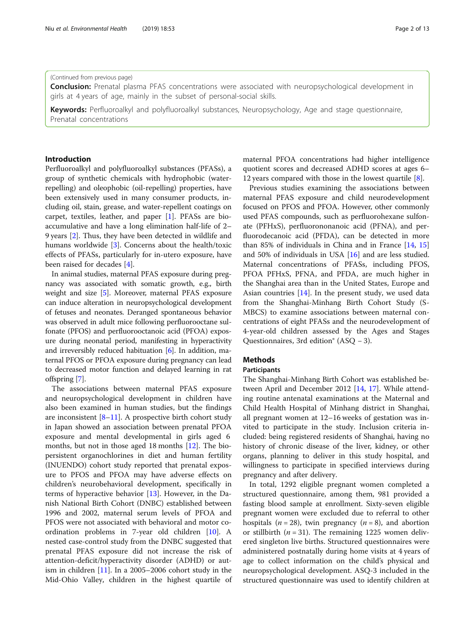#### (Continued from previous page)

**Conclusion:** Prenatal plasma PFAS concentrations were associated with neuropsychological development in girls at 4 years of age, mainly in the subset of personal-social skills.

Keywords: Perfluoroalkyl and polyfluoroalkyl substances, Neuropsychology, Age and stage questionnaire, Prenatal concentrations

## Introduction

Perfluoroalkyl and polyfluoroalkyl substances (PFASs), a group of synthetic chemicals with hydrophobic (waterrepelling) and oleophobic (oil-repelling) properties, have been extensively used in many consumer products, including oil, stain, grease, and water-repellent coatings on carpet, textiles, leather, and paper [[1](#page-11-0)]. PFASs are bioaccumulative and have a long elimination half-life of 2– 9 years [\[2](#page-11-0)]. Thus, they have been detected in wildlife and humans worldwide [\[3\]](#page-11-0). Concerns about the health/toxic effects of PFASs, particularly for in-utero exposure, have been raised for decades [[4](#page-11-0)].

In animal studies, maternal PFAS exposure during pregnancy was associated with somatic growth, e.g., birth weight and size [[5\]](#page-11-0). Moreover, maternal PFAS exposure can induce alteration in neuropsychological development of fetuses and neonates. Deranged spontaneous behavior was observed in adult mice following perfluorooctane sulfonate (PFOS) and perfluorooctanoic acid (PFOA) exposure during neonatal period, manifesting in hyperactivity and irreversibly reduced habituation [[6](#page-11-0)]. In addition, maternal PFOS or PFOA exposure during pregnancy can lead to decreased motor function and delayed learning in rat offspring [[7\]](#page-11-0).

The associations between maternal PFAS exposure and neuropsychological development in children have also been examined in human studies, but the findings are inconsistent  $[8-11]$  $[8-11]$  $[8-11]$  $[8-11]$  $[8-11]$ . A prospective birth cohort study in Japan showed an association between prenatal PFOA exposure and mental developmental in girls aged 6 months, but not in those aged 18 months [[12\]](#page-11-0). The biopersistent organochlorines in diet and human fertility (INUENDO) cohort study reported that prenatal exposure to PFOS and PFOA may have adverse effects on children's neurobehavioral development, specifically in terms of hyperactive behavior [\[13\]](#page-11-0). However, in the Danish National Birth Cohort (DNBC) established between 1996 and 2002, maternal serum levels of PFOA and PFOS were not associated with behavioral and motor coordination problems in 7-year old children [[10](#page-11-0)]. A nested case-control study from the DNBC suggested that prenatal PFAS exposure did not increase the risk of attention-deficit/hyperactivity disorder (ADHD) or autism in children [\[11](#page-11-0)]. In a 2005–2006 cohort study in the Mid-Ohio Valley, children in the highest quartile of maternal PFOA concentrations had higher intelligence quotient scores and decreased ADHD scores at ages 6– 12 years compared with those in the lowest quartile [\[8](#page-11-0)].

Previous studies examining the associations between maternal PFAS exposure and child neurodevelopment focused on PFOS and PFOA. However, other commonly used PFAS compounds, such as perfluorohexane sulfonate (PFHxS), perfluorononanoic acid (PFNA), and perfluorodecanoic acid (PFDA), can be detected in more than 85% of individuals in China and in France [\[14,](#page-12-0) [15](#page-12-0)] and 50% of individuals in USA [[16](#page-12-0)] and are less studied. Maternal concentrations of PFASs, including PFOS, PFOA PFHxS, PFNA, and PFDA, are much higher in the Shanghai area than in the United States, Europe and Asian countries [\[14\]](#page-12-0). In the present study, we used data from the Shanghai-Minhang Birth Cohort Study (S-MBCS) to examine associations between maternal concentrations of eight PFASs and the neurodevelopment of 4-year-old children assessed by the Ages and Stages Questionnaires, 3rd edition® (ASQ − 3).

## Methods

#### Participants

The Shanghai-Minhang Birth Cohort was established between April and December 2012 [[14,](#page-12-0) [17](#page-12-0)]. While attending routine antenatal examinations at the Maternal and Child Health Hospital of Minhang district in Shanghai, all pregnant women at 12–16 weeks of gestation was invited to participate in the study. Inclusion criteria included: being registered residents of Shanghai, having no history of chronic disease of the liver, kidney, or other organs, planning to deliver in this study hospital, and willingness to participate in specified interviews during pregnancy and after delivery.

In total, 1292 eligible pregnant women completed a structured questionnaire, among them, 981 provided a fasting blood sample at enrollment. Sixty-seven eligible pregnant women were excluded due to referral to other hospitals ( $n = 28$ ), twin pregnancy ( $n = 8$ ), and abortion or stillbirth ( $n = 31$ ). The remaining 1225 women delivered singleton live births. Structured questionnaires were administered postnatally during home visits at 4 years of age to collect information on the child's physical and neuropsychological development. ASQ-3 included in the structured questionnaire was used to identify children at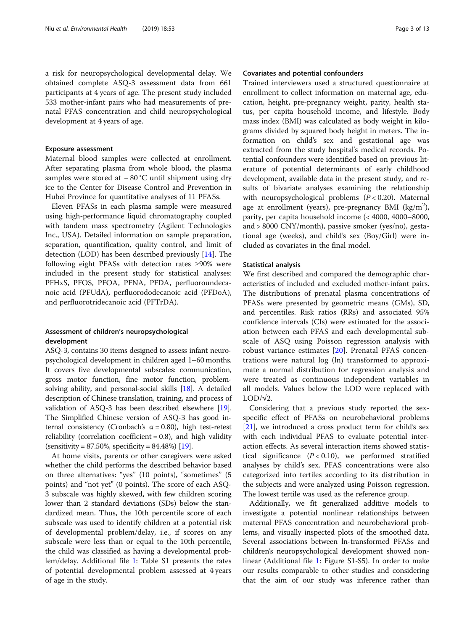a risk for neuropsychological developmental delay. We obtained complete ASQ-3 assessment data from 661 participants at 4 years of age. The present study included 533 mother-infant pairs who had measurements of prenatal PFAS concentration and child neuropsychological development at 4 years of age.

## Exposure assessment

Maternal blood samples were collected at enrollment. After separating plasma from whole blood, the plasma samples were stored at −80 °C until shipment using dry ice to the Center for Disease Control and Prevention in Hubei Province for quantitative analyses of 11 PFASs.

Eleven PFASs in each plasma sample were measured using high-performance liquid chromatography coupled with tandem mass spectrometry (Agilent Technologies Inc., USA). Detailed information on sample preparation, separation, quantification, quality control, and limit of detection (LOD) has been described previously [\[14](#page-12-0)]. The following eight PFASs with detection rates ≥90% were included in the present study for statistical analyses: PFHxS, PFOS, PFOA, PFNA, PFDA, perfluoroundecanoic acid (PFUdA), perfluorododecanoic acid (PFDoA), and perfluorotridecanoic acid (PFTrDA).

## Assessment of children's neuropsychological development

ASQ-3, contains 30 items designed to assess infant neuropsychological development in children aged 1–60 months. It covers five developmental subscales: communication, gross motor function, fine motor function, problemsolving ability, and personal-social skills [\[18\]](#page-12-0). A detailed description of Chinese translation, training, and process of validation of ASQ-3 has been described elsewhere [[19](#page-12-0)]. The Simplified Chinese version of ASQ-3 has good internal consistency (Cronbach's α = 0.80), high test-retest reliability (correlation coefficient  $= 0.8$ ), and high validity  $(sensitivity = 87.50\%, specificity = 84.48\%)$  [\[19\]](#page-12-0).

At home visits, parents or other caregivers were asked whether the child performs the described behavior based on three alternatives: "yes" (10 points), "sometimes" (5 points) and "not yet" (0 points). The score of each ASQ-3 subscale was highly skewed, with few children scoring lower than 2 standard deviations (SDs) below the standardized mean. Thus, the 10th percentile score of each subscale was used to identify children at a potential risk of developmental problem/delay, i.e., if scores on any subscale were less than or equal to the 10th percentile, the child was classified as having a developmental problem/delay. Additional file [1:](#page-11-0) Table S1 presents the rates of potential developmental problem assessed at 4 years of age in the study.

#### Covariates and potential confounders

Trained interviewers used a structured questionnaire at enrollment to collect information on maternal age, education, height, pre-pregnancy weight, parity, health status, per capita household income, and lifestyle. Body mass index (BMI) was calculated as body weight in kilograms divided by squared body height in meters. The information on child's sex and gestational age was extracted from the study hospital's medical records. Potential confounders were identified based on previous literature of potential determinants of early childhood development, available data in the present study, and results of bivariate analyses examining the relationship with neuropsychological problems  $(P < 0.20)$ . Maternal age at enrollment (years), pre-pregnancy BMI ( $\text{kg/m}^2$ ), parity, per capita household income (< 4000, 4000–8000, and > 8000 CNY/month), passive smoker (yes/no), gestational age (weeks), and child's sex (Boy/Girl) were included as covariates in the final model.

## Statistical analysis

We first described and compared the demographic characteristics of included and excluded mother-infant pairs. The distributions of prenatal plasma concentrations of PFASs were presented by geometric means (GMs), SD, and percentiles. Risk ratios (RRs) and associated 95% confidence intervals (CIs) were estimated for the association between each PFAS and each developmental subscale of ASQ using Poisson regression analysis with robust variance estimates [\[20](#page-12-0)]. Prenatal PFAS concentrations were natural log (ln) transformed to approximate a normal distribution for regression analysis and were treated as continuous independent variables in all models. Values below the LOD were replaced with  $LOD/\sqrt{2}$ .

Considering that a previous study reported the sexspecific effect of PFASs on neurobehavioral problems [[21\]](#page-12-0), we introduced a cross product term for child's sex with each individual PFAS to evaluate potential interaction effects. As several interaction items showed statistical significance  $(P < 0.10)$ , we performed stratified analyses by child's sex. PFAS concentrations were also categorized into tertiles according to its distribution in the subjects and were analyzed using Poisson regression. The lowest tertile was used as the reference group.

Additionally, we fit generalized additive models to investigate a potential nonlinear relationships between maternal PFAS concentration and neurobehavioral problems, and visually inspected plots of the smoothed data. Several associations between ln-transformed PFASs and children's neuropsychological development showed nonlinear (Additional file [1:](#page-11-0) Figure S1-S5). In order to make our results comparable to other studies and considering that the aim of our study was inference rather than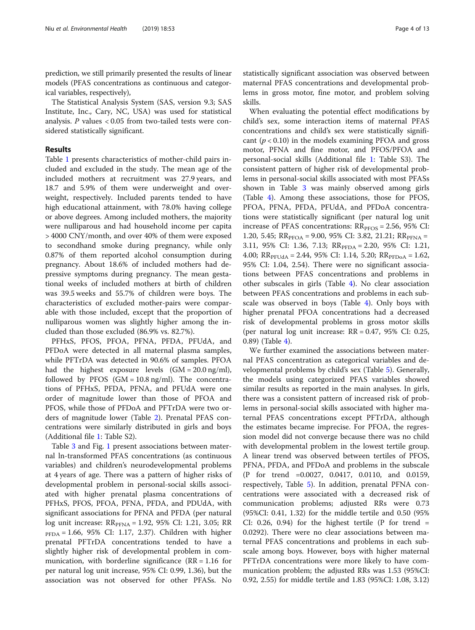prediction, we still primarily presented the results of linear models (PFAS concentrations as continuous and categorical variables, respectively),

The Statistical Analysis System (SAS, version 9.3; SAS Institute, Inc., Cary, NC, USA) was used for statistical analysis.  $P$  values < 0.05 from two-tailed tests were considered statistically significant.

## Results

Table [1](#page-4-0) presents characteristics of mother-child pairs included and excluded in the study. The mean age of the included mothers at recruitment was 27.9 years, and 18.7 and 5.9% of them were underweight and overweight, respectively. Included parents tended to have high educational attainment, with 78.0% having college or above degrees. Among included mothers, the majority were nulliparous and had household income per capita > 4000 CNY/month, and over 40% of them were exposed to secondhand smoke during pregnancy, while only 0.87% of them reported alcohol consumption during pregnancy. About 18.6% of included mothers had depressive symptoms during pregnancy. The mean gestational weeks of included mothers at birth of children was 39.5 weeks and 55.7% of children were boys. The characteristics of excluded mother-pairs were comparable with those included, except that the proportion of nulliparous women was slightly higher among the included than those excluded (86.9% vs. 82.7%).

PFHxS, PFOS, PFOA, PFNA, PFDA, PFUdA, and PFDoA were detected in all maternal plasma samples, while PFTrDA was detected in 90.6% of samples. PFOA had the highest exposure levels  $(GM = 20.0 \text{ ng/ml})$ , followed by PFOS  $(GM = 10.8 \text{ ng/ml})$ . The concentrations of PFHxS, PFDA, PFNA, and PFUdA were one order of magnitude lower than those of PFOA and PFOS, while those of PFDoA and PFTrDA were two orders of magnitude lower (Table [2](#page-5-0)). Prenatal PFAS concentrations were similarly distributed in girls and boys (Additional file [1](#page-11-0): Table S2).

Table [3](#page-6-0) and Fig. [1](#page-7-0) present associations between maternal ln-transformed PFAS concentrations (as continuous variables) and children's neurodevelopmental problems at 4 years of age. There was a pattern of higher risks of developmental problem in personal-social skills associated with higher prenatal plasma concentrations of PFHxS, PFOS, PFOA, PFNA, PFDA, and PDUdA, with significant associations for PFNA and PFDA (per natural log unit increase:  $RR_{PFNA} = 1.92, 95\%$  CI: 1.21, 3.05; RR PFDA = 1.66, 95% CI: 1.17, 2.37). Children with higher prenatal PFTrDA concentrations tended to have a slightly higher risk of developmental problem in communication, with borderline significance  $(RR = 1.16$  for per natural log unit increase, 95% CI: 0.99, 1.36), but the association was not observed for other PFASs. No statistically significant association was observed between maternal PFAS concentrations and developmental problems in gross motor, fine motor, and problem solving skills.

When evaluating the potential effect modifications by child's sex, some interaction items of maternal PFAS concentrations and child's sex were statistically significant  $(p < 0.10)$  in the models examining PFOA and gross motor, PFNA and fine motor, and PFOS/PFOA and personal-social skills (Additional file [1:](#page-11-0) Table S3). The consistent pattern of higher risk of developmental problems in personal-social skills associated with most PFASs shown in Table [3](#page-6-0) was mainly observed among girls (Table [4](#page-8-0)). Among these associations, those for PFOS, PFOA, PFNA, PFDA, PFUdA, and PFDoA concentrations were statistically significant (per natural log unit increase of PFAS concentrations:  $RR_{PFOS} = 2.56$ , 95% CI: 1.20, 5.45;  $RR_{PFOA} = 9.00$ , 95% CI: 3.82, 21.21;  $RR_{PENA} =$ 3.11, 95% CI: 1.36, 7.13;  $RR_{\text{PPDA}} = 2.20$ , 95% CI: 1.21, 4.00;  $RR_{PFUdd} = 2.44$ , 95% CI: 1.14, 5.20;  $RR_{PFDoA} = 1.62$ , 95% CI: 1.04, 2.54). There were no significant associations between PFAS concentrations and problems in other subscales in girls (Table [4\)](#page-8-0). No clear association between PFAS concentrations and problems in each subscale was observed in boys (Table [4](#page-8-0)). Only boys with higher prenatal PFOA concentrations had a decreased risk of developmental problems in gross motor skills (per natural log unit increase:  $RR = 0.47$ , 95% CI: 0.25, 0.89) (Table [4\)](#page-8-0).

We further examined the associations between maternal PFAS concentration as categorical variables and developmental problems by child's sex (Table [5\)](#page-9-0). Generally, the models using categorized PFAS variables showed similar results as reported in the main analyses. In girls, there was a consistent pattern of increased risk of problems in personal-social skills associated with higher maternal PFAS concentrations except PFTrDA, although the estimates became imprecise. For PFOA, the regression model did not converge because there was no child with developmental problem in the lowest tertile group. A linear trend was observed between tertiles of PFOS, PFNA, PFDA, and PFDoA and problems in the subscale (P for trend =0.0027, 0.0417, 0.0110, and 0.0159, respectively, Table [5\)](#page-9-0). In addition, prenatal PFNA concentrations were associated with a decreased risk of communication problems; adjusted RRs were 0.73 (95%CI: 0.41, 1.32) for the middle tertile and 0.50 (95% CI: 0.26, 0.94) for the highest tertile  $(P$  for trend = 0.0292). There were no clear associations between maternal PFAS concentrations and problems in each subscale among boys. However, boys with higher maternal PFTrDA concentrations were more likely to have communication problem; the adjusted RRs was 1.53 (95%CI: 0.92, 2.55) for middle tertile and 1.83 (95%CI: 1.08, 3.12)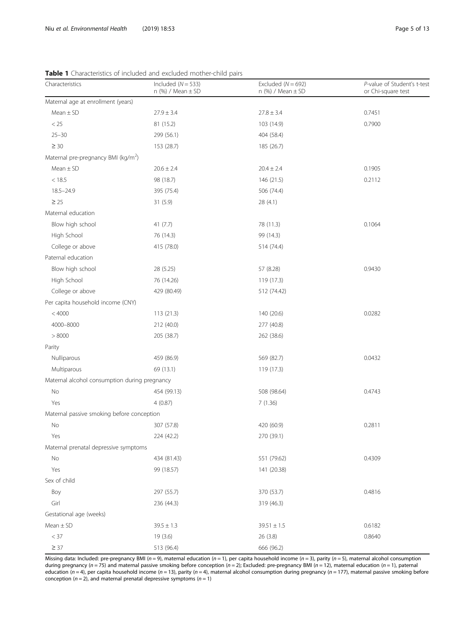| Characteristics                                 | Included ( $N = 533$ )<br>$n$ (%) / Mean $\pm$ SD | Excluded $(N = 692)$<br>n $(\%)$ / Mean $\pm$ SD | P-value of Student's t-test<br>or Chi-square test |
|-------------------------------------------------|---------------------------------------------------|--------------------------------------------------|---------------------------------------------------|
| Maternal age at enrollment (years)              |                                                   |                                                  |                                                   |
| $Mean \pm SD$                                   | $27.9 \pm 3.4$                                    | $27.8 \pm 3.4$                                   | 0.7451                                            |
| < 25                                            | 81 (15.2)                                         | 103 (14.9)                                       | 0.7900                                            |
| $25 - 30$                                       | 299 (56.1)                                        | 404 (58.4)                                       |                                                   |
| $\geq 30$                                       | 153 (28.7)                                        | 185 (26.7)                                       |                                                   |
| Maternal pre-pregnancy BMI (kg/m <sup>2</sup> ) |                                                   |                                                  |                                                   |
| $Mean \pm SD$                                   | $20.6 \pm 2.4$                                    | $20.4 \pm 2.4$                                   | 0.1905                                            |
| < 18.5                                          | 98 (18.7)                                         | 146 (21.5)                                       | 0.2112                                            |
| $18.5 - 24.9$                                   | 395 (75.4)                                        | 506 (74.4)                                       |                                                   |
| $\geq 25$                                       | 31(5.9)                                           | 28 (4.1)                                         |                                                   |
| Maternal education                              |                                                   |                                                  |                                                   |
| Blow high school                                | 41 $(7.7)$                                        | 78 (11.3)                                        | 0.1064                                            |
| High School                                     | 76 (14.3)                                         | 99 (14.3)                                        |                                                   |
| College or above                                | 415 (78.0)                                        | 514 (74.4)                                       |                                                   |
| Paternal education                              |                                                   |                                                  |                                                   |
| Blow high school                                | 28 (5.25)                                         | 57 (8.28)                                        | 0.9430                                            |
| High School                                     | 76 (14.26)                                        | 119 (17.3)                                       |                                                   |
| College or above                                | 429 (80.49)                                       | 512 (74.42)                                      |                                                   |
| Per capita household income (CNY)               |                                                   |                                                  |                                                   |
| < 4000                                          | 113(21.3)                                         | 140 (20.6)                                       | 0.0282                                            |
| 4000-8000                                       | 212 (40.0)                                        | 277 (40.8)                                       |                                                   |
| > 8000                                          | 205 (38.7)                                        | 262 (38.6)                                       |                                                   |
| Parity                                          |                                                   |                                                  |                                                   |
| Nulliparous                                     | 459 (86.9)                                        | 569 (82.7)                                       | 0.0432                                            |
| Multiparous                                     | 69 (13.1)                                         | 119 (17.3)                                       |                                                   |
| Maternal alcohol consumption during pregnancy   |                                                   |                                                  |                                                   |
| No                                              | 454 (99.13)                                       | 508 (98.64)                                      | 0.4743                                            |
| Yes                                             | 4(0.87)                                           | 7(1.36)                                          |                                                   |
| Maternal passive smoking before conception      |                                                   |                                                  |                                                   |
| No                                              | 307 (57.8)                                        | 420 (60.9)                                       | 0.2811                                            |
| Yes                                             | 224 (42.2)                                        | 270 (39.1)                                       |                                                   |
| Maternal prenatal depressive symptoms           |                                                   |                                                  |                                                   |
| No                                              | 434 (81.43)                                       | 551 (79.62)                                      | 0.4309                                            |
| Yes                                             | 99 (18.57)                                        | 141 (20.38)                                      |                                                   |
| Sex of child                                    |                                                   |                                                  |                                                   |
| Boy                                             | 297 (55.7)                                        | 370 (53.7)                                       | 0.4816                                            |
| Girl                                            | 236 (44.3)                                        | 319 (46.3)                                       |                                                   |
| Gestational age (weeks)                         |                                                   |                                                  |                                                   |
| $Mean \pm SD$                                   | $39.5 \pm 1.3$                                    | $39.51 \pm 1.5$                                  | 0.6182                                            |
| $<$ 37                                          | 19 (3.6)                                          | 26 (3.8)                                         | 0.8640                                            |
| $\geq$ 37                                       | 513 (96.4)                                        | 666 (96.2)                                       |                                                   |

<span id="page-4-0"></span>Table 1 Characteristics of included and excluded mother-child pairs

Missing data: Included: pre-pregnancy BMI (n = 9), maternal education (n = 1), per capita household income (n = 3), parity (n = 5), maternal alcohol consumption during pregnancy (n = 75) and maternal passive smoking before conception (n = 2); Excluded: pre-pregnancy BMI (n = 12), maternal education (n = 1), paternal education (n = 4), per capita household income (n = 13), parity (n = 4), maternal alcohol consumption during pregnancy (n = 177), maternal passive smoking before conception ( $n = 2$ ), and maternal prenatal depressive symptoms ( $n = 1$ )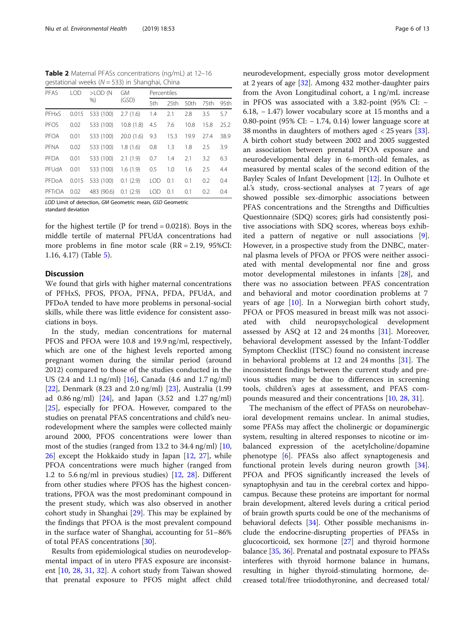<span id="page-5-0"></span>Table 2 Maternal PFASs concentrations (ng/mL) at 12-16 gestational weeks ( $N = 533$ ) in Shanghai, China

| PFAS        | <b>LOD</b> | $>$ LOD $(N$         | <b>GM</b> | Percentiles |                  |      |      |      |
|-------------|------------|----------------------|-----------|-------------|------------------|------|------|------|
|             |            | %                    | (GSD)     | 5th         | 25 <sub>th</sub> | 50th | 75th | 95th |
| PFHxS       | 0.015      | 533 (100)            | 2.7(1.6)  | 1.4         | 2.1              | 2.8  | 3.5  | 5.7  |
| PFOS        | 0.02       | 533 (100)            | 10.8(1.8) | 4.5         | 7.6              | 10.8 | 15.8 | 25.2 |
| <b>PFOA</b> | 0.01       | 533 (100)            | 20.0(1.6) | 9.3         | 15.3             | 19.9 | 27.4 | 38.9 |
| PFNA        | 0.02       | 533 (100)            | 1.8(1.6)  | 0.8         | 1.3              | 1.8  | 2.5  | 3.9  |
| PFDA        | 0.01       | 533 (100)            | 2.1(1.9)  | 0.7         | 1.4              | 2.1  | 3.2  | 6.3  |
| PFUdA       | 0.01       | 533 (100)            | 1.6(1.9)  | 0.5         | 1.0              | 1.6  | 2.5  | 4.4  |
| PFDoA       | 0.015      | 533 (100)            | 0.1(2.9)  | <b>LOD</b>  | 0.1              | 0.1  | 0.2  | 0.4  |
| PFTrDA 0.02 |            | 483 (90.6) 0.1 (2.9) |           | LOD.        | 0.1              | 0.1  | 0.2  | 0.4  |
|             |            |                      |           |             |                  |      |      |      |

LOD Limit of detection, GM Geometric mean, GSD Geometric standard deviation

for the highest tertile ( $P$  for trend = 0.0218). Boys in the middle tertile of maternal PFUdA concentrations had more problems in fine motor scale (RR = 2.19, 95%CI: 1.16, 4.17) (Table [5\)](#page-9-0).

## **Discussion**

We found that girls with higher maternal concentrations of PFHxS, PFOS, PFOA, PFNA, PFDA, PFUdA, and PFDoA tended to have more problems in personal-social skills, while there was little evidence for consistent associations in boys.

In the study, median concentrations for maternal PFOS and PFOA were 10.8 and 19.9 ng/ml, respectively, which are one of the highest levels reported among pregnant women during the similar period (around 2012) compared to those of the studies conducted in the US (2.4 and 1.1 ng/ml) [\[16](#page-12-0)], Canada (4.6 and 1.7 ng/ml) [[22\]](#page-12-0), Denmark (8.23 and 2.0 ng/ml) [\[23](#page-12-0)], Australia (1.99 ad 0.86 ng/ml) [[24](#page-12-0)], and Japan (3.52 and 1.27 ng/ml) [[25\]](#page-12-0), especially for PFOA. However, compared to the studies on prenatal PFAS concentrations and child's neurodevelopment where the samples were collected mainly around 2000, PFOS concentrations were lower than most of the studies (ranged from 13.2 to 34.4 ng/ml) [[10](#page-11-0), [26\]](#page-12-0) except the Hokkaido study in Japan [\[12](#page-11-0), [27](#page-12-0)], while PFOA concentrations were much higher (ranged from 1.2 to 5.6 ng/ml in previous studies) [\[12](#page-11-0), [28](#page-12-0)]. Different from other studies where PFOS has the highest concentrations, PFOA was the most predominant compound in the present study, which was also observed in another cohort study in Shanghai [\[29](#page-12-0)]. This may be explained by the findings that PFOA is the most prevalent compound in the surface water of Shanghai, accounting for 51–86% of total PFAS concentrations [[30\]](#page-12-0).

Results from epidemiological studies on neurodevelopmental impact of in utero PFAS exposure are inconsistent [[10,](#page-11-0) [28,](#page-12-0) [31](#page-12-0), [32](#page-12-0)]. A cohort study from Taiwan showed that prenatal exposure to PFOS might affect child neurodevelopment, especially gross motor development at 2 years of age [[32\]](#page-12-0). Among 432 mother-daughter pairs from the Avon Longitudinal cohort, a 1 ng/mL increase in PFOS was associated with a 3.82-point (95% CI: − 6.18, − 1.47) lower vocabulary score at 15 months and a 0.80-point (95% CI: − 1.74, 0.14) lower language score at 38 months in daughters of mothers aged < 25 years [\[33](#page-12-0)]. A birth cohort study between 2002 and 2005 suggested an association between prenatal PFOA exposure and neurodevelopmental delay in 6-month-old females, as measured by mental scales of the second edition of the Bayley Scales of Infant Development [\[12](#page-11-0)]. In Oulhote et al.'s study, cross-sectional analyses at 7 years of age showed possible sex-dimorphic associations between PFAS concentrations and the Strengths and Difficulties Questionnaire (SDQ) scores; girls had consistently positive associations with SDQ scores, whereas boys exhibited a pattern of negative or null associations [\[9](#page-11-0)]. However, in a prospective study from the DNBC, maternal plasma levels of PFOA or PFOS were neither associated with mental developmental nor fine and gross motor developmental milestones in infants [\[28](#page-12-0)], and there was no association between PFAS concentration and behavioral and motor coordination problems at 7 years of age [\[10\]](#page-11-0). In a Norwegian birth cohort study, PFOA or PFOS measured in breast milk was not associated with child neuropsychological development assessed by ASQ at 12 and 24 months [[31](#page-12-0)]. Moreover, behavioral development assessed by the Infant-Toddler Symptom Checklist (ITSC) found no consistent increase in behavioral problems at 12 and 24 months [[31\]](#page-12-0). The inconsistent findings between the current study and previous studies may be due to differences in screening tools, children's ages at assessment, and PFAS compounds measured and their concentrations [[10,](#page-11-0) [28](#page-12-0), [31](#page-12-0)].

The mechanism of the effect of PFASs on neurobehavioral development remains unclear. In animal studies, some PFASs may affect the cholinergic or dopaminergic system, resulting in altered responses to nicotine or imbalanced expression of the acetylcholine/dopamine phenotype [[6\]](#page-11-0). PFASs also affect synaptogenesis and functional protein levels during neuron growth [\[34](#page-12-0)]. PFOA and PFOS significantly increased the levels of synaptophysin and tau in the cerebral cortex and hippocampus. Because these proteins are important for normal brain development, altered levels during a critical period of brain growth spurts could be one of the mechanisms of behavioral defects [[34](#page-12-0)]. Other possible mechanisms include the endocrine-disrupting properties of PFASs in glucocorticoid, sex hormone [[27\]](#page-12-0) and thyroid hormone balance [\[35](#page-12-0), [36](#page-12-0)]. Prenatal and postnatal exposure to PFASs interferes with thyroid hormone balance in humans, resulting in higher thyroid-stimulating hormone, decreased total/free triiodothyronine, and decreased total/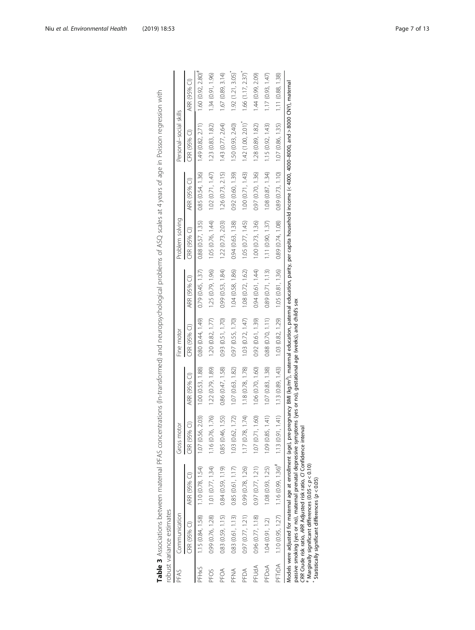|                    | Communication     |                                                                                                                                                                                                                                                                                                                                                                                                                                                                | Gross moto               |                   | Fine motor                                  |                       | Problem solving   |                                             | Personal-social skills |                      |
|--------------------|-------------------|----------------------------------------------------------------------------------------------------------------------------------------------------------------------------------------------------------------------------------------------------------------------------------------------------------------------------------------------------------------------------------------------------------------------------------------------------------------|--------------------------|-------------------|---------------------------------------------|-----------------------|-------------------|---------------------------------------------|------------------------|----------------------|
|                    | CRR (95% CI)      | ARR (95% CI)                                                                                                                                                                                                                                                                                                                                                                                                                                                   | CRR (95% 0               | ARR (95% CI)      | CRR (95% CI)                                | ARR (95% CI)          | CRR (95% CI)      | ARR (95% CI)                                | CRR (95% CI)           | ARR (95% CI)         |
| PFH <sub>X</sub> S |                   | $1.15(0.84, 1.58)$ $1.10(0.78, 1.54)$                                                                                                                                                                                                                                                                                                                                                                                                                          | 1.07 (0.56, 2.03)        | 1.00(0.53, 1.88)  | 0.80 (0.44, 1.49)                           | 0.79(0.45, 1.37)      | 0.88(0.57, 1.35)  | 0.85(0.54, 1.36)                            | 1.49(0.82, 2.71)       | $1.60(0.92, 2.80)^*$ |
| PFOS               | 0.99 (0.76, 1.28) | 1.01(0.77, 1.34)                                                                                                                                                                                                                                                                                                                                                                                                                                               | 1.76)<br>1.16 (0.76,     | 1.22 (0.79, 1.89) | 1.20(0.82, 1.77)                            | 1.25 (0.79, 1.96)     | 1.05 (0.76, 1.44) | 1.02(0.71, 1.47)                            | 1.23(0.83, 1.82)       | 1.34 (0.91, 1.96)    |
| PFOA               | 0.83(0.59, 1.15)  | 0.84 (0.59, 1.19)                                                                                                                                                                                                                                                                                                                                                                                                                                              | 55)<br>0.85 (0.46, 1     | 0.86 (0.47, 1.58) | 0.93(0.51, 1.70)                            | 0.99 (0.53, 1.84)     | 1.22(0.73, 2.03)  | 1.26(0.73, 2.15)                            | 1.43 (0.77, 2.64)      | 1.67(0.89, 3.14)     |
| PFNA               | 0.83 (0.61, 1.13) | 0.85(0.61, 1.17)                                                                                                                                                                                                                                                                                                                                                                                                                                               | 1.72)<br>1.03(0.62, 1)   | 1.07 (0.63, 1.82) | 0.97 (0.55, 1.70)                           | 1.04 (0.58, 1.86)     | 0.94 (0.63, 1.38) | 0.92 (0.60, 1.39)                           | 1.50 (0.93, 2.40)      | 1.92(1.21, 3.05)     |
| PFDA               | 0.97(0.77, 1.21)  | 0.99 (0.78, 1.26)                                                                                                                                                                                                                                                                                                                                                                                                                                              | 1.74)<br>1.17(0.78,      | 1.18 (0.78, 1.78) | 1.03 (0.72, 1.47)                           | $1.08$ $(0.72, 1.62)$ | 1.05(0.77, 1.45)  | 1.00(0.71, 1.43)                            | 1.42(1.00, 2.01)       | 1.66(1.17, 2.37)     |
| PFUdA              | 0.96 (0.77, 1.18) | 0.97(0.77, 1.21)                                                                                                                                                                                                                                                                                                                                                                                                                                               | $\odot$<br>1.07(0.71, 1) | 1.06 (0.70, 1.60) | 0.92(0.61, 1.39)                            | 0.94(0.61, 1.44)      | 1.00(0.73, 1.36)  | 0.97 (0.70, 1.36)                           | 1.28 (0.89, 1.82)      | 1.44 (0.99, 2.09)    |
| PFDoA              | 1.04(0.91, 1.2)   | 1.08 (0.93, 1.25)                                                                                                                                                                                                                                                                                                                                                                                                                                              | (1)<br>1.09 (0.85, 1     | 1.07 (0.83, 1.38) | 0.88(0.70, 1.11)                            | 0.89 (0.71, 1.13)     | 1.11(0.90, 1.37)  | 1.08(0.87, 1.34)                            | 1.15 (0.92, 1.43)      | 1.17(0.93, 1.47)     |
|                    |                   | PFTrDA 1.10 (0.95, 1.27) 1.16 (0.99, 1.36) <sup>#</sup> 1.13 (0.91, 1.41)                                                                                                                                                                                                                                                                                                                                                                                      |                          | 1.13 (0.89, 1.43) | $1.03$ $(0.82, 1.29)$ $1.05$ $(0.81, 1.36)$ |                       | 0.89 (0.74, 1.08) | $0.89$ $(0.73, 1.10)$ $1.07$ $(0.86, 1.35)$ |                        | 1.11(0.88, 1.38)     |
|                    |                   | Models were adjusted for maternal age at enrollment (age), pre-pregnancy BMl (kg/m <sup>2</sup> ), maternal education, paternal education, parity, per capita household income (< 4000, 4000-8000, and > 8000 CNY), maternal<br>services in the contraction of the service contraction in the contraction of the contract of the contract of the contract of the contract of the contract of the contract of the contract of the contract of the contract of t |                          |                   |                                             |                       |                   |                                             |                        |                      |

<span id="page-6-0"></span>Table 3 Associations between maternal PFAS concentrations (In-transformed) and neuropsychological problems of ASQ scales at 4 years of age in Poisson regression with Table 3 Associations between maternal PFAS concentrations (ln-transformed) and neuropsychological problems of ASQ scales at 4 years of age in Poisson regression with robust variance estimates  $\ddot{\phantom{1}}$ 

child's sex passive smoking (yes or no), maternal prenatal depressive symptoms (yes or no), gestational age (weeks), and child's sex and KS), ee<br>X ągе  $\overline{\sigma}$ ₫ no), gesta

CRR Crude risk ratio, ARR Adjusted risk ratio, CI Confidence interval

 $^*$ Marginally significant differences (0.05 < p < 0.10)

Statistically significant differences (p < 0.05)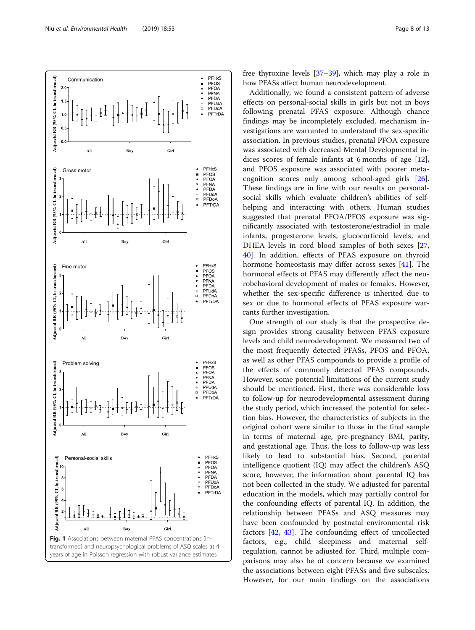

<span id="page-7-0"></span>

free thyroxine levels [\[37](#page-12-0)–[39](#page-12-0)], which may play a role in how PFASs affect human neurodevelopment.

Additionally, we found a consistent pattern of adverse effects on personal-social skills in girls but not in boys following prenatal PFAS exposure. Although chance findings may be incompletely excluded, mechanism investigations are warranted to understand the sex-specific association. In previous studies, prenatal PFOA exposure was associated with decreased Mental Developmental indices scores of female infants at 6 months of age [\[12](#page-11-0)], and PFOS exposure was associated with poorer metacognition scores only among school-aged girls [\[26](#page-12-0)]. These findings are in line with our results on personalsocial skills which evaluate children's abilities of selfhelping and interacting with others. Human studies suggested that prenatal PFOA/PFOS exposure was significantly associated with testosterone/estradiol in male infants, progesterone levels, glucocorticoid levels, and DHEA levels in cord blood samples of both sexes [[27](#page-12-0), [40\]](#page-12-0). In addition, effects of PFAS exposure on thyroid hormone homeostasis may differ across sexes [\[41](#page-12-0)]. The hormonal effects of PFAS may differently affect the neurobehavioral development of males or females. However, whether the sex-specific difference is inherited due to sex or due to hormonal effects of PFAS exposure warrants further investigation.

One strength of our study is that the prospective design provides strong causality between PFAS exposure levels and child neurodevelopment. We measured two of the most frequently detected PFASs, PFOS and PFOA, as well as other PFAS compounds to provide a profile of the effects of commonly detected PFAS compounds. However, some potential limitations of the current study should be mentioned. First, there was considerable loss to follow-up for neurodevelopmental assessment during the study period, which increased the potential for selection bias. However, the characteristics of subjects in the original cohort were similar to those in the final sample in terms of maternal age, pre-pregnancy BMI, parity, and gestational age. Thus, the loss to follow-up was less likely to lead to substantial bias. Second, parental intelligence quotient (IQ) may affect the children's ASQ score, however, the information about parental IQ has not been collected in the study. We adjusted for parental education in the models, which may partially control for the confounding effects of parental IQ. In addition, the relationship between PFASs and ASQ measures may have been confounded by postnatal environmental risk factors [[42,](#page-12-0) [43](#page-12-0)]. The confounding effect of uncollected factors, e.g., child sleepiness and maternal selfregulation, cannot be adjusted for. Third, multiple comparisons may also be of concern because we examined the associations between eight PFASs and five subscales. However, for our main findings on the associations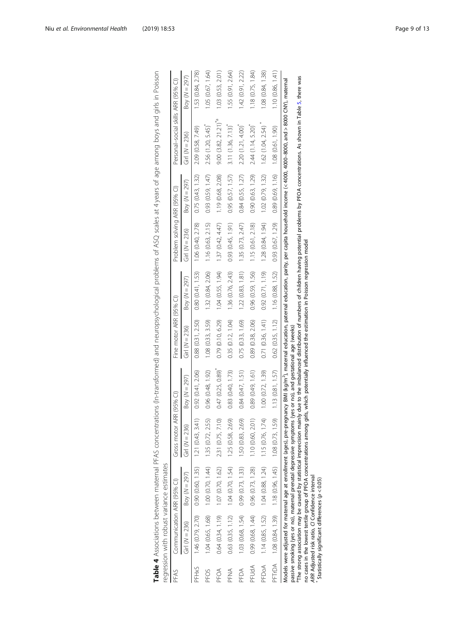|                    | regression with robust variance estimates                 |                                                                           |                          |                                                                                                                                                     |                         |                                       |                              |                                        |                                                                                                                                                                                                                                                                                                                                                                                                                                              |                   |
|--------------------|-----------------------------------------------------------|---------------------------------------------------------------------------|--------------------------|-----------------------------------------------------------------------------------------------------------------------------------------------------|-------------------------|---------------------------------------|------------------------------|----------------------------------------|----------------------------------------------------------------------------------------------------------------------------------------------------------------------------------------------------------------------------------------------------------------------------------------------------------------------------------------------------------------------------------------------------------------------------------------------|-------------------|
| PFAS               | Communication ARR (95% CI)                                |                                                                           | Gross motor ARR (95% CI) |                                                                                                                                                     | Fine motor ARR (95% CI) |                                       | Problem solving ARR (95% CI) |                                        | Personal-social skills ARR (95% CI)                                                                                                                                                                                                                                                                                                                                                                                                          |                   |
|                    | Girl ( $N = 236$ )                                        | Boy ( $N = 297$ )                                                         | Girl ( $N = 236$ )       | Boy ( $N = 297$ )                                                                                                                                   | Girl ( $N = 236$ )      | Boy ( $N = 297$ )                     | Girl ( $N = 236$ )           | Boy ( $N = 297$ )                      | Girl ( $N = 236$ )                                                                                                                                                                                                                                                                                                                                                                                                                           | Boy ( $N = 297$ ) |
| PFH <sub>X</sub> S |                                                           | $1.46$ (0.79, 2.70) 0.90 (0.60, 1.35) 1.21 (0.43, 3.41) 0.92 (0.41, 2.06) |                          |                                                                                                                                                     | 0.88(0.31, 2.50)        | 0.80(0.41, 1.53)                      | 1.06(0.40, 2.78)             | 0.75(0.43, 1.32)                       | 2.09 (0.58, 7.49)                                                                                                                                                                                                                                                                                                                                                                                                                            | 1.53 (0.84, 2.78) |
| PFOS               |                                                           | $1.04(0.65, 1.68)$ $1.00(0.70, 1.44)$ $1.35(0.72, 2.55)$                  |                          | 0.96 (0.48, 1.92)                                                                                                                                   | 1.08 (0.33, 3.59)       | 1.32 (0.84, 2.06)                     | 1.16 (0.63, 2.15)            | 0.93(0.59, 1.47)                       | 2.56 (1.20, 5.45)                                                                                                                                                                                                                                                                                                                                                                                                                            | 1.05 (0.67, 1.64) |
| PFOA               |                                                           | $0.64$ $(0.34, 1.19)$ $1.07$ $(0.70, 1.62)$ $2.31$ $(0.75, 7.10)$         |                          | 0.47(0.25, 0.89)                                                                                                                                    | 0.79 (0.10, 6.29)       | 1.04 (0.55, 1.94)                     | 1.37(0.42, 4.47)             | 1.19 (0.68, 2.08)                      | $9.00$ $(3.82, 21.21)^{*a}$                                                                                                                                                                                                                                                                                                                                                                                                                  | 1.03(0.53, 2.01)  |
| PFNA               | 0.63(0.35, 1.12)                                          | 1.04(0.70, 1.54)                                                          | 1.25 (0.58, 2.69)        | 0.83(0.40, 1.73)                                                                                                                                    | 0.35 (0.12, 1.04)       | 1.36 (0.76, 2.43)                     | 0.93(0.45, 1.91)             | 0.95(0.57, 1.57)                       | 3.11(1.36, 7.13)                                                                                                                                                                                                                                                                                                                                                                                                                             | 1.55(0.91, 2.64)  |
| PFDA               | 1.03(0.68, 1.54)                                          | 0.99(0.73, 1.33)                                                          | 1.50(0.83, 2.69)         | 0.84(0.47, 1.51)                                                                                                                                    | 0.75(0.33, 1.69)        | 1.22(0.83, 1.81)                      | 1.35 (0.73, 2.47)            | 0.84(0.55, 1.27)                       | 2.20 (1.21, 4.00)                                                                                                                                                                                                                                                                                                                                                                                                                            | 1.42(0.91, 2.22)  |
| PFUdA              | 0.99 (0.68, 1.44)                                         | 0.96 (0.73, 1.28)                                                         | 1.10 (0.60, 2.01)        | 0.89(0.49, 1.61)                                                                                                                                    | 0.89 (0.38, 2.06)       | 0.96 (0.59, 1.56)                     | 1.15 (0.61, 2.18)            | 0.90(0.63, 1.29)                       | $2.44$ (1.14, 5.20)                                                                                                                                                                                                                                                                                                                                                                                                                          | 1.18(0.75, 1.84)  |
| PFDoA              | 1.14(0.85, 1.52)                                          | 1.04(0.88, 1.24)                                                          | 1.15 (0.76, 1.74)        | 1.00(0.72, 1.39)                                                                                                                                    | 0.71(0.36, 1.41)        | 0.92(0.71, 1.19)                      | 1.28 (0.84, 1.94)            | 1.02(0.79, 1.32)                       | 1.62 (1.04, 2.54)                                                                                                                                                                                                                                                                                                                                                                                                                            | 1.08 (0.84, 1.38) |
|                    | PFTrDA 1.08 (0.84, 1.39) 1.18 (0.96, 1.45) 1.08 (0.73, 1. |                                                                           | 59)                      | 1.13(0.81, 1.57)                                                                                                                                    |                         | $0.62(0.35, 1.12)$ $1.16(0.88, 1.52)$ | 0.93(0.67, 1.29)             | $0.89(0.69, 1.16)$ 1.08 $(0.61, 1.90)$ |                                                                                                                                                                                                                                                                                                                                                                                                                                              | 1.10(0.86, 1.41)  |
|                    |                                                           |                                                                           |                          | passive smoking (yes or no), maternal prenatal depressive symptoms (yes or no), and gestational age (weeks)                                         |                         |                                       |                              |                                        | The strong association may be caused by statistical imprecision mainly due to the imbalanced distribution of numbers of children having potential problems by PFOA concentrations. As shown in Table 5, there was<br>Models were adjusted for maternal age at enrollment (ages), pre-pregnancy BMI (kg/m <sup>4</sup> ), maternal education, paternal education, parity, per capita household income (<4000,-4000-8000, and > 8000, maternal |                   |
|                    |                                                           |                                                                           |                          | lo and an extra torio of DEOA conceito on ano on a sidura oficial distinguishes and the conceito of the conceitor anomals in Delon receitor anomals |                         |                                       |                              |                                        |                                                                                                                                                                                                                                                                                                                                                                                                                                              |                   |

<span id="page-8-0"></span>Table 4 Associations between maternal PFAS concentrations (In-transformed) and neuropsychological problems of ASQ scales at 4 years of age among boys and girls in Poisson Table 4 Associations between maternal PFAS concentrations (ln-transformed) and neuropsychological problems of ASQ scales at 4 years of age among boys and girls in Poisson regression with robust variance estimates with robust

in Poisson regression model no cases in the lowest tertile group of PFOA concentrations among girls, which potentially influenced the estimation in Poisson regression model nation estin ξ influenced no cases in the lowest tertile group of PFOA concentrations among girls, which potentially<br>ARR Adjusted risk ratio, Cl Confidence interval<br>\* Statistically significant differences (ρ < 0.05)

ARR Adjusted risk ratio, CI Confidence interval Statistically significant differences (p < 0.05)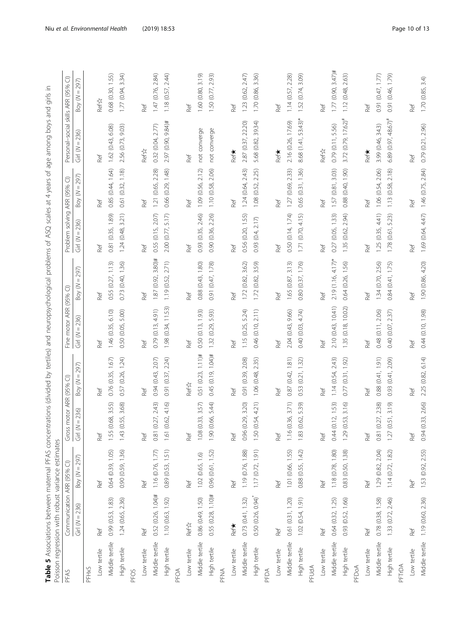<span id="page-9-0"></span>

|                  | Table 5 Associations between maternal PFAS concentr | Poisson regression with robust variance estimates |                            | ations (divided by tertiles) and neuropsychological problems of ASQ scales at 4 years of age among boys and girls |                          |                          |                              |                                  |                                     | Ξ.                       |
|------------------|-----------------------------------------------------|---------------------------------------------------|----------------------------|-------------------------------------------------------------------------------------------------------------------|--------------------------|--------------------------|------------------------------|----------------------------------|-------------------------------------|--------------------------|
| PFAS             | Communication ARR (95%                              | $\widehat{\cup}$                                  | Gross motor ARR (95% CI)   |                                                                                                                   | Fine motor ARR (95% CI)  |                          | Problem solving ARR (95% CI) |                                  | Personal-social skills ARR (95% CI) |                          |
|                  | 236)<br>Girl $(N =$                                 | 297)<br>$\, \parallel$<br>Boy (N:                 | $= 236$<br>Girl (N:        | 297)<br>Ш<br>$\leq$<br>Boy                                                                                        | 236)<br>H<br>Girl (N     | $= 297$<br>$\leq$<br>Boy | 236)<br>H<br>Girl (N         | 297)<br>$\leq$<br>$\mathrm{Boy}$ | 236)<br>Girl (N:                    | $= 297$<br>$\leq$<br>Boy |
| PFHxS            |                                                     |                                                   |                            |                                                                                                                   |                          |                          |                              |                                  |                                     |                          |
| Low tertile      | Ref                                                 | Ref                                               | Ref                        | Ref                                                                                                               | Ref                      | Ref                      | Ref                          | Ref                              | Ref                                 | <b>Refix</b>             |
| Middle tertile   | 0.99(0.53, 1.83)                                    | 0.64 (0.39, 1.05)                                 | 3.55)<br>68,<br>1.55 (0.6  | (0.35, 1.67)<br>0.76                                                                                              | 6.10<br>1.46 (0.35,      | ଲ<br>0.55 (0.27, 1.1     | 1.89)<br>(0.35,<br>0.81      | 1.64<br>(0.44,<br>0.85           | 6.08)<br>(0.43,<br>1.62             | 1.55)<br>0.68 (0.30,     |
| High tertile     | 1.24 (0.65, 2.36)                                   | 0.90(0.59, 1.36)                                  | 3.68)<br>1.43 (0.55,       | (0.26, 1.24)<br>0.57                                                                                              | 5.00)<br>(0.05,<br>0.50  | 0.73 (0.40, 1.36)        | (0.48, 3.21)<br>1.24         | (0.32, 1.18)<br>0.61             | 2.56 (0.73, 9.03)                   | 1.77(0.94, 3.34)         |
| PFO <sub>S</sub> |                                                     |                                                   |                            |                                                                                                                   |                          |                          |                              |                                  |                                     |                          |
| Low tertile      | Ref                                                 | Ref                                               | Ref                        | Ref                                                                                                               | Ref                      | Ref                      | Ref                          | Ref                              | <b>Ref &amp;</b>                    | Ref                      |
| Middle tertile   | $0.52(0.26, 1.04)$ #                                | 1.16(0.76, 1.77)                                  | 0.81 (0.27, 2.43)          | (0.43, 2.07)<br>0.94                                                                                              | 0.79(0.13, 4.91)         | $1.87(0.92, 3.80)$ #     | 0.55 (0.15, 2.07)            | 1.21 (0.65, 2.28)                | 0.32(0.04, 2.77)                    | 1.47 (0.76, 2.84)        |
| High tertile     | 1.10 (0.63, 1.92)                                   | 0.89(0.53, 1.51)                                  | 4.16)<br>1.61 (0.62,       | 2.24<br>(0.37,<br>0.91                                                                                            | 11.53)<br>(0.34,<br>1.98 | 2.71)<br>1.19 (0.52,     | 5.17<br>2.00 (0.77,          | (0.29, 1.48)<br>0.66             | $(0.90, 9.84)$ #<br>2.97            | 1.18 (0.57, 2.44)        |
| PFOA             |                                                     |                                                   |                            |                                                                                                                   |                          |                          |                              |                                  |                                     |                          |
| Low tertile      | <b>Ref</b> &                                        | Ref                                               | Ref                        | <b>Refix</b>                                                                                                      | Ref                      | Ref                      | Ref                          | Ref                              | Ref                                 | Ref                      |
| Middle tertile   | 0.86 (0.49, 1.50)                                   | 1.02(0.65, 1.6)                                   | 3.57)<br>33,<br>1.08 (0.1) | $0.51(0.23, 1.11)*$                                                                                               | 0.50 (0.13, 1.93)        | 0.88 (0.43, 1.80)        | 0.93(0.35, 2.46)             | 2.12<br>1.09 (0.56,              | not converge                        | 1.60 (0.80, 3.19)        |
| High tertile     | $0.55(0.28, 1.10)*$                                 | 0.96(0.61, 1.52)                                  | 5.44)<br>1.90 (0.66,       | $(0.19, 1.04)$ #<br>0.45                                                                                          | 5.93)<br>(0.29,<br>1.32  | 0.91 (0.47, 1.78)        | 2.26)<br>(0.36,<br>0.90      | 2.06)<br>1.10 (0.58,             | not converge                        | 1.50 (0.77, 2.93)        |
| PFNA             |                                                     |                                                   |                            |                                                                                                                   |                          |                          |                              |                                  |                                     |                          |
| Low tertile      | Ref <sup>*</sup>                                    | Ref                                               | Ref                        | Ref                                                                                                               | Ref                      | Ref                      | Ref                          | Ref                              | <b>Ref*</b>                         | Ref                      |
| Middle tertile   | 0.73(0.41, 1.32)                                    | 1.19 (0.76, 1.88)                                 | 3.20<br>0.96 (0.29,        | 2.08)<br>(0.39)<br>0.91                                                                                           | 5.24)<br>1.15 (0.25,     | 3.62)<br>1.72 (0.82,     | 0.56 (0.20, 1.55)            | 2.43)<br>1.24(0.64,              | 22.20)<br>2.87 (0.37,               | 2.47)<br>1.23 (0.62,     |
| High tertile     | 0.50 (0.26, 0.94)                                   | 1.17(0.72, 1.91)                                  | 1.50 (0.54, 4.21)          | 2.35)<br>(0.48,<br>1.06                                                                                           | 2.11)<br>(0.10,<br>0.46  | 3.59)<br>1.72 (0.82,     | (0.4, 2.17)<br>0.93          | 2.25)<br>(0.52,<br>1.08          | 5.68 (0.82, 39.34)                  | 1.70 (0.86, 3.36)        |
| PFDA             |                                                     |                                                   |                            |                                                                                                                   |                          |                          |                              |                                  |                                     |                          |
| Low tertile      | Ref                                                 | Ref                                               | Ref                        | Ref                                                                                                               | Ref                      | Ref                      | Ref                          | Ref                              | Ref*                                | Ref                      |
| Middle tertile   | 0.61 (0.31, 1.20)                                   | 1.01 (0.66, 1.55)                                 | 3.71)<br>1.16(0.36,        | 1.81)<br>(0.42,<br>$0.87\,$                                                                                       | 9.66)<br>2.04 (0.43,     | 3.13<br>1.65 (0.87,      | 0.50(0.14, 1.74)             | 2.33)<br>(0.69,<br>1.27          | 2.16 (0.26, 17.69)                  | 2.28)<br>1.14(0.57,      |
| High tertile     | 1.02 (0.54, 1.91)                                   | 0.88 (0.55, 1.42)                                 | 5.39)<br>1.83 (0.62,       | (0.21, 1.32)<br>0.53                                                                                              | (0.03, 4.74)<br>0.40     | 0.80 (0.37, 1.76)        | (0.70, 4.15)<br>1.71         | (0.31, 1.36)<br>0.65             | $53.43)*$<br>8.68 (1.41,            | (0.74, 3.09)<br>1.52     |
| PFUdA            |                                                     |                                                   |                            |                                                                                                                   |                          |                          |                              |                                  |                                     |                          |
| Low tertile      | Ref                                                 | Ref                                               | Ref                        | Ref                                                                                                               | Ref                      | Ref                      | Ref                          | Ref                              | Ref &                               | Ref                      |
| Middle tertile   | 0.64 (0.32, 1.25)                                   | 1.18(0.78, 1.80)                                  | 0.44 (0.12, 1.53)          | 2.43<br>1.14(0.54,                                                                                                | 2.10 (0.43, 10.41)       | $2.19(1.16, 4.17)$ *     | 0.27 (0.05, 1.33)            | 1.57 (0.81, 3.03)                | 0.79 (0.11, 5.56)                   | $1.77(0.90, 3.47)$ #     |
| High tertile     | 0.93 (0.52, 1.66)                                   | 0.83 (0.50, 1.38)                                 | 3.16<br>1.29 (0.53,        | (0.31, 1.92)<br>0.77                                                                                              | 10.02<br>(0.18,<br>1.35  | (0.26, 1.56)<br>0.64     | 2.94)<br>(0.62,<br>1.35      | (06.1)<br>(0.40,<br>0.88         | $3.72$ (0.79, 17.62) <sup>#</sup>   | 2.63)<br>(0.48,<br>1.12  |
| PFDoA            |                                                     |                                                   |                            |                                                                                                                   |                          |                          |                              |                                  |                                     |                          |
| Low tertile      | Ref                                                 | Ref                                               | Ref                        | Ref                                                                                                               | Ref                      | Ref                      | Ref                          | Ref                              | Ref*                                | Ref                      |
| Middle tertile   | 0.78(0.38, 1.58)                                    | 1.29 (0.82, 2.04)                                 | 0.81 (0.27, 2.38)          | 0.88(0.41, 1.91)                                                                                                  | 0.48 (0.11, 2.06)        | 1.34 (0.70, 2.56)        | 1.25(0.35, 4.41)             | 1.06 (0.54, 2.06)                | 3.99 (0.46, 34.3)                   | 0.91 (0.47, 1.77)        |
| High tertile     | 1.33 (0.72, 2.46)                                   | 1.14(0.72, 1.82)                                  | 1.27(0.51, 3.19)           | (0.41, 2.09)<br>0.93                                                                                              | 0.40 (0.07, 2.37)        | (0.41, 1.75)<br>0.84     | 1.78 (0.61, 5.23)            | 2.18<br>1.13 (0.58,              | $6.89(0.97, 48.67)$ <sup>#</sup>    | (0.46, 1.79)<br>0.91     |
| PFTrDA           |                                                     |                                                   |                            |                                                                                                                   |                          |                          |                              |                                  |                                     |                          |
| Low tertile      | Ref                                                 | Ref                                               | Ref                        | Ref                                                                                                               | Ref                      | Ref                      | Ref                          | Ref                              | Ref                                 | Ref                      |
| Middle tertile   | 1.19 (0.60, 2.36)                                   | 1.53 (0.92, 2.55)                                 | 0.94(0.33, 2.66)           | 2.25 (0.82, 6.14)                                                                                                 | 0.44 (0.10, 1.98)        | 1.90 (0.86, 4.20)        | 1.69 (0.64, 4.47)            | 1.46 (0.75, 2.84)                | 0.79 (0.21, 2.96)                   | 1.70(0.85, 3.4)          |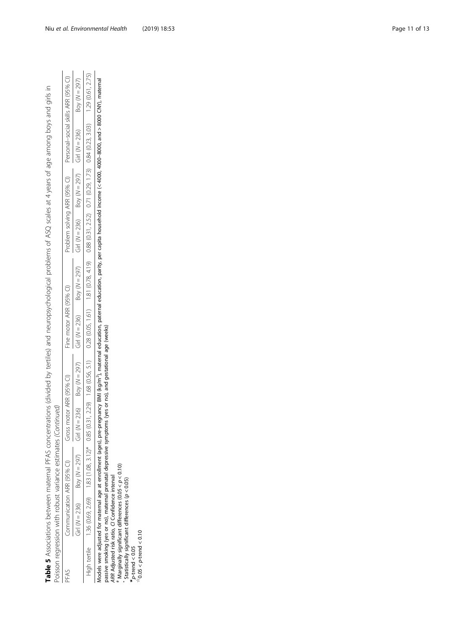Table 5 Associations between maternal PFAS concentrations (divided by tertiles) and neuropsychological problems of ASQ scales at 4 years of age among boys and girls in Table 5 Associations between maternal PFAS concentrations (divided by tertiles) and neuropsychological problems of ASQ scales at 4 years of age among boys and girls in Poisson regression with robust variance estimates (Continued) Poisson regression with robust variance estimates (Continued)

|   |                                     | Boy ( $N = 297$ )           | 1.29 (0.61, 2.75)                                           |
|---|-------------------------------------|-----------------------------|-------------------------------------------------------------|
|   | Personal-social skills ARR (95% CI) | Girl ( $N = 236$ )          |                                                             |
|   |                                     | Boy ( $N = 297$ )           |                                                             |
|   | Problem solving ARR (95% CI)        | $Girl (N = 236)$            | $0.88$ (0.31, 2.52) $0.71$ (0.29, 1.73) $0.84$ (0.23, 3.03) |
|   |                                     | Boy ( $N = 297$ )           |                                                             |
|   | Fine motor ARR (95% CI)             | Girl ( $N = 236$ )          | $0.28$ $(0.05, 1.61)$ 1.81 $(0.78, 4.19)$                   |
|   |                                     | Boy $(N = 297)$             | $(0.31, 2.29)$ 1.68 $(0.56, 5.1)$                           |
|   | Gross motor ARR (95% 0              | $N = 236$                   |                                                             |
|   |                                     | Boy ( $N = 297$ )           | $1.83(1.08, 3.12)^*$ 0.85                                   |
|   |                                     | $\exists$ irl ( $N = 236$ ) | 36 (0.69, 2.69)                                             |
| j | ʻFAJ                                |                             | iah tertile<br>3                                            |

Models were adjusted for maternal age at enrollment (ages), pre-pregnancy BM (kg/m<sup>2</sup>), maternal education, paternal education, parity, per capita household income (< 4000, 4000–8000, and > 8000 CNY), maternal<br>passive smok Models were adjusted for maternal age at enrollment (ages), pre-pregnancy BMI (kg/m2), maternal education, paternal education, parity, per capita household income (< 4000, 4000–8000, and > 8000 CNY), maternal passive smoking (yes or no), maternal prenatal depressive symptoms (yes or no), and gestational age (weeks)

ARR Adjusted risk ratio, CI Confidence interval

#\*Marginally significant differences (0.05 < p < 0.10)

 Statistically significant differences (p < 0.05)  $\star_{p\text{-trend}}$  < 0.05

 $*0.05 < p$ -trend  $< 0.10$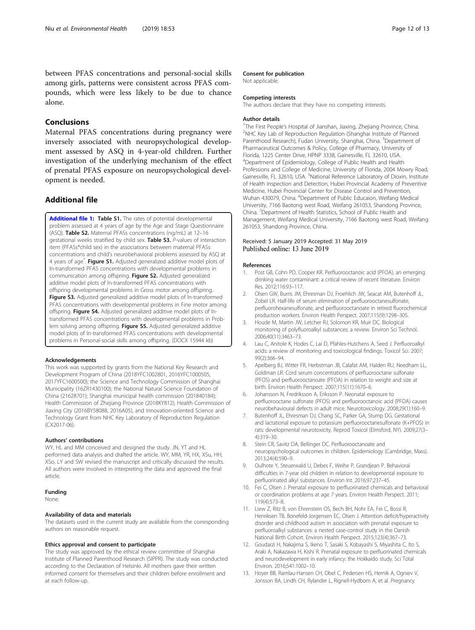<span id="page-11-0"></span>between PFAS concentrations and personal-social skills among girls, patterns were consistent across PFAS compounds, which were less likely to be due to chance alone.

## Conclusions

Maternal PFAS concentrations during pregnancy were inversely associated with neuropsychological development assessed by ASQ in 4-year-old children. Further investigation of the underlying mechanism of the effect of prenatal PFAS exposure on neuropsychological development is needed.

## Additional file

[Additional file 1:](https://doi.org/10.1186/s12940-019-0493-3) Table S1. The rates of potential developmental problem assessed at 4 years of age by the Age and Stage Questionnaire (ASQ). Table S2. Maternal PFASs concentrations (ng/mL) at 12–16 gestational weeks stratified by child sex. Table S3. P-values of interaction item (PFASs\*child sex) in the associations between maternal PFASs concentrations and child's neurobehavioral problems assessed by ASQ at 4 years of age<sup>\*</sup>. Figure S1. Adjusted generalized additive model plots of ln-transformed PFAS concentrations with developmental problems in communication among offspring. Figure S2. Adjusted generalized additive model plots of ln-transformed PFAS concentrations with offspring developmental problems in Gross motor among offspring. Figure S3. Adjusted generalized additive model plots of In-transformed PFAS concentrations with developmental problems in Fine motor among offspring. Figure S4. Adjusted generalized additive model plots of lntransformed PFAS concentrations with developmental problems in Problem solving among offspring. Figure S5. Adjusted generalized additive model plots of ln-transformed PFAS concentrations with developmental problems in Personal-social skills among offspring. (DOCX 15944 kb)

#### Acknowledgements

This work was supported by grants from the National Key Research and Development Program of China (2018YFC1002801, 2016YFC1000505, 2017YFC1600500); the Science and Technology Commission of Shanghai Municipality (16ZR1430100); the National Natural Science Foundation of China (21628701); Shanghai municipal health commission (201840184); Health Commission of Zhejiang Province (2018KY812), Health Commission of Jiaxing City (2016BY58088, 2016A05), and Innovation-oriented Science and Technology Grant from NHC Key Laboratory of Reproduction Regulation (CX2017-06).

#### Authors' contributions

WY, HL and MM conceived and designed the study. JN, YT and HL performed data analysis and drafted the article. WY, MM, YR, HX, XSu, HH, XSo, LY and SW revised the manuscript and critically discussed the results. All authors were involved in interpreting the data and approved the final article.

## Funding

None.

#### Availability of data and materials

The datasets used in the current study are available from the corresponding authors on reasonable request.

#### Ethics approval and consent to participate

The study was approved by the ethical review committee of Shanghai Institute of Planned Parenthood Research (SIPPR). The study was conducted according to the Declaration of Helsinki. All mothers gave their written informed consent for themselves and their children before enrollment and at each follow-up.

#### Consent for publication

Not applicable.

#### Competing interests

The authors declare that they have no competing interests.

#### Author details

<sup>1</sup>The First People's Hospital of Jianshan, Jiaxing, Zhejiang Province, China.<br><sup>2</sup>NHC Key Lah of Benroduction Bequlation (Shanghai Institute of Planned <sup>2</sup>NHC Key Lab of Reproduction Regulation (Shanghai Institute of Planned Parenthood Research), Fudan University, Shanghai, China. <sup>3</sup>Department of Pharmaceutical Outcomes & Policy, College of Pharmacy, University of Florida, 1225 Center Drive, HPNP 3338, Gainesville, FL 32610, USA. 4 Department of Epidemiology, College of Public Health and Health Professions and College of Medicine, University of Florida, 2004 Mowry Road, Gainesville, FL 32610, USA. <sup>5</sup>National Reference Laboratory of Dioxin, Institute of Health Inspection and Detection, Hubei Provincial Academy of Preventive Medicine, Hubei Provincial Center for Disease Control and Prevention, Wuhan 430079, China. <sup>6</sup>Department of Public Educaion, Weifang Medical University, 7166 Baotong west Road, Weifang 261053, Shandong Province, China. <sup>7</sup> Department of Health Statistics, School of Public Health and Management, Weifang Medical University, 7166 Baotong west Road, Weifang 261053, Shandong Province, China.

#### Received: 5 January 2019 Accepted: 31 May 2019 Published online: 13 June 2019

#### References

- 1. Post GB, Cohn PD, Cooper KR. Perfluorooctanoic acid (PFOA), an emerging drinking water contaminant: a critical review of recent literature. Environ Res. 2012;116:93–117.
- 2. Olsen GW, Burris JM, Ehresman DJ, Froehlich JW, Seacat AM, Butenhoff JL, Zobel LR. Half-life of serum elimination of perfluorooctanesulfonate, perfluorohexanesulfonate, and perfluorooctanoate in retired fluorochemical production workers. Environ Health Perspect. 2007;115(9):1298–305.
- 3. Houde M, Martin JW, Letcher RJ, Solomon KR, Muir DC. Biological monitoring of polyfluoroalkyl substances: a review. Environ Sci Technol. 2006;40(11):3463–73.
- 4. Lau C, Anitole K, Hodes C, Lai D, Pfahles-Hutchens A, Seed J. Perfluoroalkyl acids: a review of monitoring and toxicological findings. Toxicol Sci. 2007; 99(2):366–94.
- Apelberg BJ, Witter FR, Herbstman JB, Calafat AM, Halden RU, Needham LL, Goldman LR. Cord serum concentrations of perfluorooctane sulfonate (PFOS) and perfluorooctanoate (PFOA) in relation to weight and size at birth. Environ Health Perspect. 2007;115(11):1670–6.
- 6. Johansson N, Fredriksson A, Eriksson P. Neonatal exposure to perfluorooctane sulfonate (PFOS) and perfluorooctanoic acid (PFOA) causes neurobehavioural defects in adult mice. Neurotoxicology. 2008;29(1):160–9.
- 7. Butenhoff JL, Ehresman DJ, Chang SC, Parker GA, Stump DG. Gestational and lactational exposure to potassium perfluorooctanesulfonate (K+PFOS) in rats: developmental neurotoxicity. Reprod Toxicol (Elmsford, NY). 2009;27(3– 4):319–30.
- 8. Stein CR, Savitz DA, Bellinger DC. Perfluorooctanoate and neuropsychological outcomes in children. Epidemiology (Cambridge, Mass). 2013;24(4):590–9.
- 9. Oulhote Y, Steuerwald U, Debes F, Weihe P, Grandjean P. Behavioral difficulties in 7-year old children in relation to developmental exposure to perfluorinated alkyl substances. Environ Int. 2016;97:237–45.
- 10. Fei C, Olsen J. Prenatal exposure to perfluorinated chemicals and behavioral or coordination problems at age 7 years. Environ Health Perspect. 2011; 119(4):573–8.
- 11. Liew Z, Ritz B, von Ehrenstein OS, Bech BH, Nohr EA, Fei C, Bossi R, Henriksen TB, Bonefeld-Jorgensen EC, Olsen J. Attention deficit/hyperactivity disorder and childhood autism in association with prenatal exposure to perfluoroalkyl substances: a nested case-control study in the Danish National Birth Cohort. Environ Health Perspect. 2015;123(4):367–73.
- 12. Goudarzi H, Nakajima S, Ikeno T, Sasaki S, Kobayashi S, Miyashita C, Ito S, Araki A, Nakazawa H, Kishi R. Prenatal exposure to perfluorinated chemicals and neurodevelopment in early infancy: the Hokkaido study. Sci Total Environ. 2016;541:1002–10.
- 13. Hoyer BB, Ramlau-Hansen CH, Obel C, Pedersen HS, Hernik A, Ogniev V, Jonsson BA, Lindh CH, Rylander L, Rignell-Hydbom A, et al. Pregnancy